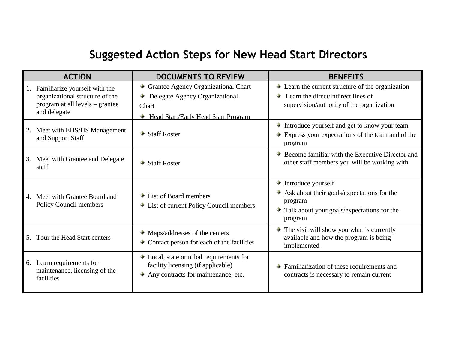## **Suggested Action Steps for New Head Start Directors**

|    | <b>ACTION</b>                                                                                                       | <b>DOCUMENTS TO REVIEW</b>                                                                                                                   | <b>BENEFITS</b>                                                                                                                                                                |
|----|---------------------------------------------------------------------------------------------------------------------|----------------------------------------------------------------------------------------------------------------------------------------------|--------------------------------------------------------------------------------------------------------------------------------------------------------------------------------|
|    | Familiarize yourself with the<br>organizational structure of the<br>program at all levels – grantee<br>and delegate | Grantee Agency Organizational Chart<br>Delegate Agency Organizational<br>Chart<br><b>Head Start/Early Head Start Program</b><br>۰            | $\bullet$ Learn the current structure of the organization<br>$\bullet$ Learn the direct/indirect lines of<br>supervision/authority of the organization                         |
| 2. | Meet with EHS/HS Management<br>and Support Staff                                                                    | $\bullet$ Staff Roster                                                                                                                       | Introduce yourself and get to know your team<br>$\rightarrow$ Express your expectations of the team and of the<br>program                                                      |
| 3. | Meet with Grantee and Delegate<br>staff                                                                             | $\blacktriangleright$ Staff Roster                                                                                                           | $\bullet$ Become familiar with the Executive Director and<br>other staff members you will be working with                                                                      |
| 4. | Meet with Grantee Board and<br>Policy Council members                                                               | $\bullet$ List of Board members<br>• List of current Policy Council members                                                                  | $\blacktriangleright$ Introduce yourself<br>$\bullet$ Ask about their goals/expectations for the<br>program<br>$\bullet$ Talk about your goals/expectations for the<br>program |
| 5. | Tour the Head Start centers                                                                                         | $\rightarrow$ Maps/addresses of the centers<br>$\bullet$ Contact person for each of the facilities                                           | $\bullet$ The visit will show you what is currently<br>available and how the program is being<br>implemented                                                                   |
| 6. | Learn requirements for<br>maintenance, licensing of the<br>facilities                                               | $\bullet$ Local, state or tribal requirements for<br>facility licensing (if applicable)<br>$\rightarrow$ Any contracts for maintenance, etc. | $\blacktriangleright$ Familiarization of these requirements and<br>contracts is necessary to remain current                                                                    |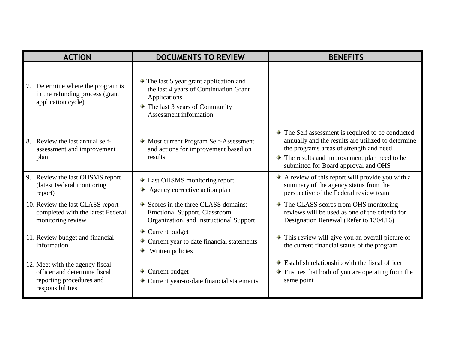| <b>ACTION</b>                                                                                                   | <b>DOCUMENTS TO REVIEW</b>                                                                                                                                                                            | <b>BENEFITS</b>                                                                                                                                                                                                                                                         |
|-----------------------------------------------------------------------------------------------------------------|-------------------------------------------------------------------------------------------------------------------------------------------------------------------------------------------------------|-------------------------------------------------------------------------------------------------------------------------------------------------------------------------------------------------------------------------------------------------------------------------|
| Determine where the program is<br>7.<br>in the refunding process (grant<br>application cycle)                   | $\blacktriangleright$ The last 5 year grant application and<br>the last 4 years of Continuation Grant<br>Applications<br>$\rightarrow$ The last 3 years of Community<br><b>Assessment information</b> |                                                                                                                                                                                                                                                                         |
| Review the last annual self-<br>8.<br>assessment and improvement<br>plan                                        | • Most current Program Self-Assessment<br>and actions for improvement based on<br>results                                                                                                             | $\blacktriangleright$ The Self assessment is required to be conducted<br>annually and the results are utilized to determine<br>the programs areas of strength and need<br>$\bullet$ The results and improvement plan need to be<br>submitted for Board approval and OHS |
| Review the last OHSMS report<br>9.<br>(latest Federal monitoring<br>report)                                     | • Last OHSMS monitoring report<br>Agency corrective action plan                                                                                                                                       | A review of this report will provide you with a<br>summary of the agency status from the<br>perspective of the Federal review team                                                                                                                                      |
| 10. Review the last CLASS report<br>completed with the latest Federal<br>monitoring review                      | $\bullet$ Scores in the three CLASS domains:<br><b>Emotional Support, Classroom</b><br>Organization, and Instructional Support                                                                        | $\blacktriangleright$ The CLASS scores from OHS monitoring<br>reviews will be used as one of the criteria for<br>Designation Renewal (Refer to 1304.16)                                                                                                                 |
| 11. Review budget and financial<br>information                                                                  | $\bullet$ Current budget<br>$\bullet$ Current year to date financial statements<br>Written policies                                                                                                   | $\bullet$ This review will give you an overall picture of<br>the current financial status of the program                                                                                                                                                                |
| 12. Meet with the agency fiscal<br>officer and determine fiscal<br>reporting procedures and<br>responsibilities | $\bullet$ Current budget<br>Current year-to-date financial statements                                                                                                                                 | $\bullet$ Establish relationship with the fiscal officer<br>$\bullet$ Ensures that both of you are operating from the<br>same point                                                                                                                                     |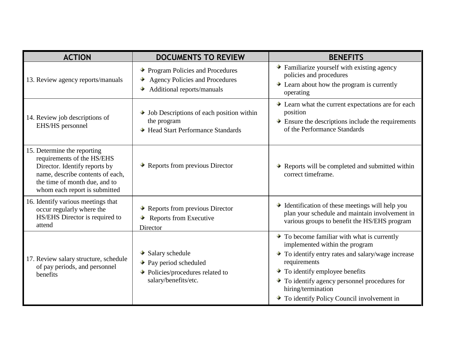| <b>ACTION</b>                                                                                                                                                                                    | <b>DOCUMENTS TO REVIEW</b>                                                                                                              | <b>BENEFITS</b>                                                                                                                                                                                                                                                                                                                  |
|--------------------------------------------------------------------------------------------------------------------------------------------------------------------------------------------------|-----------------------------------------------------------------------------------------------------------------------------------------|----------------------------------------------------------------------------------------------------------------------------------------------------------------------------------------------------------------------------------------------------------------------------------------------------------------------------------|
| 13. Review agency reports/manuals                                                                                                                                                                | ◆ Program Policies and Procedures<br><b>Agency Policies and Procedures</b><br>Additional reports/manuals                                | Familiarize yourself with existing agency<br>policies and procedures<br>$\bullet$ Learn about how the program is currently<br>operating                                                                                                                                                                                          |
| 14. Review job descriptions of<br>EHS/HS personnel                                                                                                                                               | $\rightarrow$ Job Descriptions of each position within<br>the program<br>→ Head Start Performance Standards                             | • Learn what the current expectations are for each<br>position<br>$\bullet$ Ensure the descriptions include the requirements<br>of the Performance Standards                                                                                                                                                                     |
| 15. Determine the reporting<br>requirements of the HS/EHS<br>Director. Identify reports by<br>name, describe contents of each,<br>the time of month due, and to<br>whom each report is submitted | $\bullet$ Reports from previous Director                                                                                                | $\bullet$ Reports will be completed and submitted within<br>correct timeframe.                                                                                                                                                                                                                                                   |
| 16. Identify various meetings that<br>occur regularly where the<br>HS/EHS Director is required to<br>attend                                                                                      | $\rightarrow$ Reports from previous Director<br>$\rightarrow$ Reports from Executive<br>Director                                        | • Identification of these meetings will help you<br>plan your schedule and maintain involvement in<br>various groups to benefit the HS/EHS program                                                                                                                                                                               |
| 17. Review salary structure, schedule<br>of pay periods, and personnel<br>benefits                                                                                                               | $\bullet$ Salary schedule<br>$\rightarrow$ Pay period scheduled<br>$\rightarrow$ Policies/procedures related to<br>salary/benefits/etc. | $\bullet$ To become familiar with what is currently<br>implemented within the program<br>To identify entry rates and salary/wage increase<br>requirements<br>$\bullet$ To identify employee benefits<br>$\bullet$ To identify agency personnel procedures for<br>hiring/termination<br>To identify Policy Council involvement in |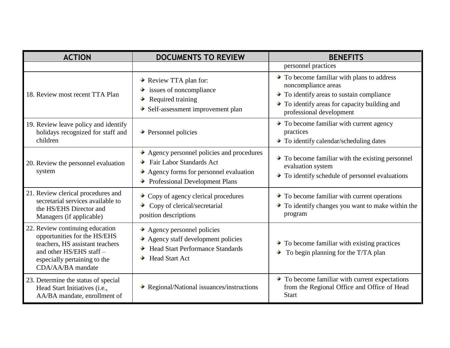| <b>ACTION</b>                                                                                                                                                                      | <b>DOCUMENTS TO REVIEW</b>                                                                                                                                                             | <b>BENEFITS</b>                                                                                                                                                                                                     |
|------------------------------------------------------------------------------------------------------------------------------------------------------------------------------------|----------------------------------------------------------------------------------------------------------------------------------------------------------------------------------------|---------------------------------------------------------------------------------------------------------------------------------------------------------------------------------------------------------------------|
|                                                                                                                                                                                    |                                                                                                                                                                                        | personnel practices                                                                                                                                                                                                 |
| 18. Review most recent TTA Plan                                                                                                                                                    | Review TTA plan for:<br>$\bullet$ issues of noncompliance<br>$\rightarrow$ Required training<br>$\rightarrow$ Self-assessment improvement plan                                         | $\bullet$ To become familiar with plans to address<br>noncompliance areas<br>$\bullet$ To identify areas to sustain compliance<br>$\bullet$ To identify areas for capacity building and<br>professional development |
| 19. Review leave policy and identify<br>holidays recognized for staff and<br>children                                                                                              | $\rightarrow$ Personnel policies                                                                                                                                                       | $\bullet$ To become familiar with current agency<br>practices<br>To identify calendar/scheduling dates                                                                                                              |
| 20. Review the personnel evaluation<br>system                                                                                                                                      | $\rightarrow$ Agency personnel policies and procedures<br><b>→</b> Fair Labor Standards Act<br>$\rightarrow$ Agency forms for personnel evaluation<br>→ Professional Development Plans | $\bullet$ To become familiar with the existing personnel<br>evaluation system<br>$\bullet$ To identify schedule of personnel evaluations                                                                            |
| 21. Review clerical procedures and<br>secretarial services available to<br>the HS/EHS Director and<br>Managers (if applicable)                                                     | $\bullet$ Copy of agency clerical procedures<br>$\bullet$ Copy of clerical/secretarial<br>position descriptions                                                                        | $\bullet$ To become familiar with current operations<br>$\bullet$ To identify changes you want to make within the<br>program                                                                                        |
| 22. Review continuing education<br>opportunities for the HS/EHS<br>teachers, HS assistant teachers<br>and other HS/EHS staff-<br>especially pertaining to the<br>CDA/AA/BA mandate | $\rightarrow$ Agency personnel policies<br>$\rightarrow$ Agency staff development policies<br><b>Head Start Performance Standards</b><br>٠.<br><b>→</b> Head Start Act                 | $\bullet$ To become familiar with existing practices<br>To begin planning for the T/TA plan                                                                                                                         |
| 23. Determine the status of special<br>Head Start Initiatives (i.e.,<br>AA/BA mandate, enrollment of                                                                               | $\rightarrow$ Regional/National issuances/instructions                                                                                                                                 | $\bullet$ To become familiar with current expectations<br>from the Regional Office and Office of Head<br><b>Start</b>                                                                                               |